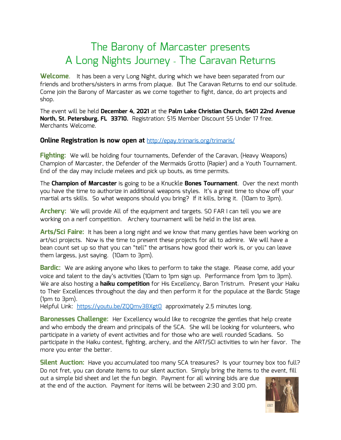## The Barony of Marcaster presents A Long Nights Journey - The Caravan Returns

**Welcome**. It has been a very Long Night, during which we have been separated from our friends and brothers/sisters in arms from plaque. But The Caravan Returns to end our solitude. Come join the Barony of Marcaster as we come together to fight, dance, do art projects and shop.

The event will be held **December 4, 2021** at the **Palm Lake Christian Church, 5401 22nd Avenue North, St. Petersburg, FL 33710.** Registration: \$15 Member Discount \$5 Under 17 free. Merchants Welcome.

## **Online Registration is now open at** <http://epay.trimaris.org/trimaris/>

**Fighting:** We will be holding four tournaments, Defender of the Caravan, (Heavy Weapons) Champion of Marcaster, the Defender of the Mermaids Grotto (Rapier) and a Youth Tournament. End of the day may include melees and pick up bouts, as time permits.

The **Champion of Marcaster** is going to be a Knuckle **Bones Tournament**. Over the next month you have the time to authorize in additional weapons styles. It's a great time to show off your martial arts skills. So what weapons should you bring? If it kills, bring it. (10am to 3pm).

**Archery:** We will provide All of the equipment and targets. SO FAR I can tell you we are working on a nerf competition. Archery tournament will be held in the list area.

**Arts/Sci Faire:** It has been a long night and we know that many gentles have been working on art/sci projects. Now is the time to present these projects for all to admire. We will have a bean count set up so that you can "tell" the artisans how good their work is, or you can leave them largess, just saying. (10am to 3pm).

**Bardic:** We are asking anyone who likes to perform to take the stage. Please come, add your voice and talent to the day's activities (10am to 1pm sign up. Performance from 1pm to 3pm). We are also hosting a **haiku competition** for His Excellency, Baron Tristrum. Present your Haiku to Their Excellences throughout the day and then perform it for the populace at the Bardic Stage (1pm to 3pm).

Helpful Link: <https://youtu.be/ZQQmv38Xgt0> approximately 2.5 minutes long.

**Baronesses Challenge:** Her Excellency would like to recognize the gentles that help create and who embody the dream and principals of the SCA. She will be looking for volunteers, who participate in a variety of event activities and for those who are well rounded Scadians. So participate in the Haiku contest, fighting, archery, and the ART/SCI activities to win her favor. The more you enter the better.

**Silent Auction:** Have you accumulated too many SCA treasures? Is your tourney box too full? Do not fret, you can donate items to our silent auction. Simply bring the items to the event, fill out a simple bid sheet and let the fun begin. Payment for all winning bids are due

at the end of the auction. Payment for items will be between 2:30 and 3:00 pm.

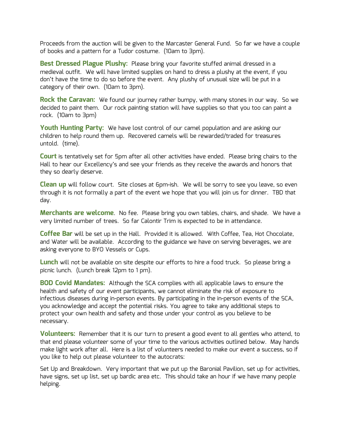Proceeds from the auction will be given to the Marcaster General Fund. So far we have a couple of books and a pattern for a Tudor costume. (10am to 3pm).

**Best Dressed Plague Plushy:** Please bring your favorite stuffed animal dressed in a medieval outfit. We will have limited supplies on hand to dress a plushy at the event, if you don't have the time to do so before the event. Any plushy of unusual size will be put in a category of their own. (10am to 3pm).

**Rock the Caravan:** We found our journey rather bumpy, with many stones in our way. So we decided to paint them. Our rock painting station will have supplies so that you too can paint a rock. (10am to 3pm)

**Youth Hunting Party:** We have lost control of our camel population and are asking our children to help round them up. Recovered camels will be rewarded/traded for treasures untold. (time).

**Court** is tentatively set for 5pm after all other activities have ended. Please bring chairs to the Hall to hear our Excellency's and see your friends as they receive the awards and honors that they so dearly deserve.

**Clean up** will follow court. Site closes at 6pm-ish. We will be sorry to see you leave, so even through it is not formally a part of the event we hope that you will join us for dinner. TBD that day.

**Merchants are welcome**. No fee. Please bring you own tables, chairs, and shade. We have a very limited number of trees. So far Calontir Trim is expected to be in attendance.

**Coffee Bar** will be set up in the Hall. Provided it is allowed. With Coffee, Tea, Hot Chocolate, and Water will be available. According to the guidance we have on serving beverages, we are asking everyone to BYO Vessels or Cups.

**Lunch** will not be available on site despite our efforts to hire a food truck. So please bring a picnic lunch. (Lunch break 12pm to 1 pm).

**BOD Covid Mandates:** Although the SCA complies with all applicable laws to ensure the health and safety of our event participants, we cannot eliminate the risk of exposure to infectious diseases during in-person events. By participating in the in-person events of the SCA, you acknowledge and accept the potential risks. You agree to take any additional steps to protect your own health and safety and those under your control as you believe to be necessary.

**Volunteers:** Remember that it is our turn to present a good event to all gentles who attend, to that end please volunteer some of your time to the various activities outlined below. May hands make light work after all. Here is a list of volunteers needed to make our event a success, so if you like to help out please volunteer to the autocrats:

Set Up and Breakdown. Very important that we put up the Baronial Pavilion, set up for activities, have signs, set up list, set up bardic area etc. This should take an hour if we have many people helping.